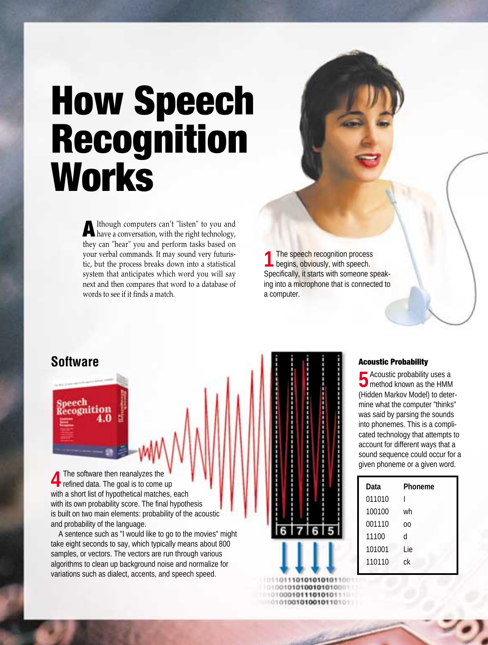## **How Speech Recognition Works**

**A**lthough computers can't "listen" to you and have a conversation, with the right technology, they can "hear" you and perform tasks based on your verbal commands. It may sound very futuristic, but the process breaks down into a statistical system that anticipates which word you will say next and then compares that word to a database of words to see if it finds a match.

**1** The speech recognition process<br>begins, obviously, with speech. Specifically, it starts with someone speaking into a microphone that is connected to a computer.

peech ecognition

**4** The software then reanalyzes the with a short list of hypothetical matches, each with its own probability score. The final hypothesis is built on two main elements: probability of the acoustic and probability of the language.

A sentence such as "I would like to go to the movies" might take eight seconds to say, which typically means about 800 samples, or vectors. The vectors are run through various algorithms to clean up background noise and normalize for variations such as dialect, accents, and speech speed.

# **Software Acoustic Probability Acoustic Probability** 0111010101010 1001010100101010001 10100010111010101110

10101001010010110101

**F**Acoustic probability uses a **O** method known as the HMM (Hidden Markov Model) to determine what the computer "thinks" was said by parsing the sounds into phonemes. This is a complicated technology that attempts to account for different ways that a sound sequence could occur for a given phoneme or a given word.

| Data   | Phoneme |
|--------|---------|
| 011010 |         |
| 100100 | wh      |
| 001110 | ΩO      |
| 11100  | d       |
| 101001 | Lie     |
| 110110 | сk      |
|        |         |